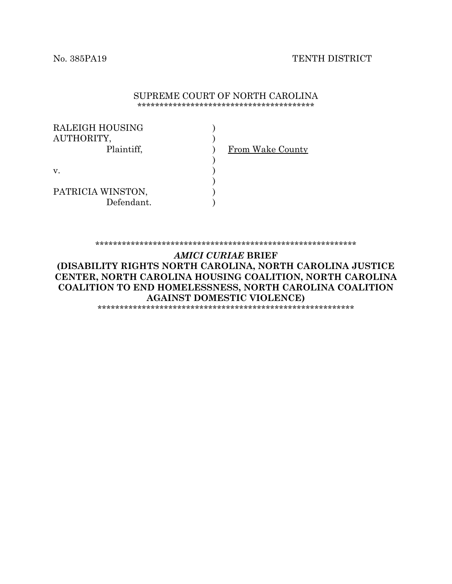#### No. 385PA19 TENTH DISTRICT

#### SUPREME COURT OF NORTH CAROLINA \*\*\*\*\*\*\*\*\*\*\*\*\*\*\*\*\*\*\*\*\*\*\*\*\*\*\*\*\*\*\*\*\*\*\*\*\*\*\*\*

| RALEIGH HOUSING<br>AUTHORITY,<br>Plaintiff, | From Wake County |
|---------------------------------------------|------------------|
| V.                                          |                  |
| PATRICIA WINSTON,<br>Defendant.             |                  |

\*\*\*\*\*\*\*\*\*\*\*\*\*\*\*\*\*\*\*\*\*\*\*\*\*\*\*\*\*\*\*\*\*\*\*\*\*\*\*\*\*\*\*\*\*\*\*\*\*\*\*\*\*\*\*\*\*\*\*

*AMICI CURIAE* **BRIEF (DISABILITY RIGHTS NORTH CAROLINA, NORTH CAROLINA JUSTICE CENTER, NORTH CAROLINA HOUSING COALITION, NORTH CAROLINA COALITION TO END HOMELESSNESS, NORTH CAROLINA COALITION AGAINST DOMESTIC VIOLENCE)** \*\*\*\*\*\*\*\*\*\*\*\*\*\*\*\*\*\*\*\*\*\*\*\*\*\*\*\*\*\*\*\*\*\*\*\*\*\*\*\*\*\*\*\*\*\*\*\*\*\*\*\*\*\*\*\*\*\*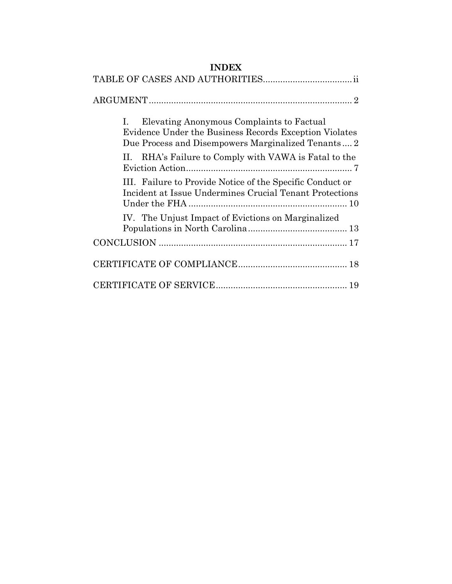## **INDEX**

| Elevating Anonymous Complaints to Factual<br>I.<br>Evidence Under the Business Records Exception Violates<br>Due Process and Disempowers Marginalized Tenants 2 |
|-----------------------------------------------------------------------------------------------------------------------------------------------------------------|
| RHA's Failure to Comply with VAWA is Fatal to the<br>П.                                                                                                         |
| III. Failure to Provide Notice of the Specific Conduct or<br>Incident at Issue Undermines Crucial Tenant Protections                                            |
| IV. The Unjust Impact of Evictions on Marginalized                                                                                                              |
|                                                                                                                                                                 |
|                                                                                                                                                                 |
|                                                                                                                                                                 |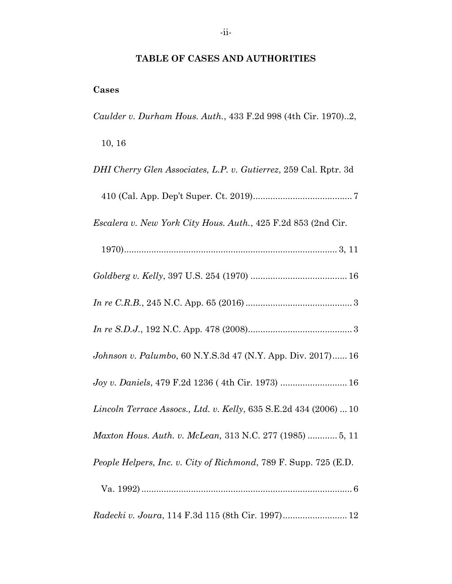## **TABLE OF CASES AND AUTHORITIES**

## <span id="page-2-0"></span>**Cases**

*Caulder v. Durham Hous. Auth.*, 433 F.2d 998 (4th Cir. 1970)..2,

10, 16

| DHI Cherry Glen Associates, L.P. v. Gutierrez, 259 Cal. Rptr. 3d  |
|-------------------------------------------------------------------|
|                                                                   |
| Escalera v. New York City Hous. Auth., 425 F.2d 853 (2nd Cir.     |
|                                                                   |
|                                                                   |
|                                                                   |
|                                                                   |
| Johnson v. Palumbo, 60 N.Y.S.3d 47 (N.Y. App. Div. 2017) 16       |
| Joy v. Daniels, 479 F.2d 1236 (4th Cir. 1973)  16                 |
| Lincoln Terrace Assocs., Ltd. v. Kelly, 635 S.E.2d 434 (2006)  10 |
| Maxton Hous. Auth. v. McLean, 313 N.C. 277 (1985)  5, 11          |
| People Helpers, Inc. v. City of Richmond, 789 F. Supp. 725 (E.D.  |
|                                                                   |
| Radecki v. Joura, 114 F.3d 115 (8th Cir. 1997) 12                 |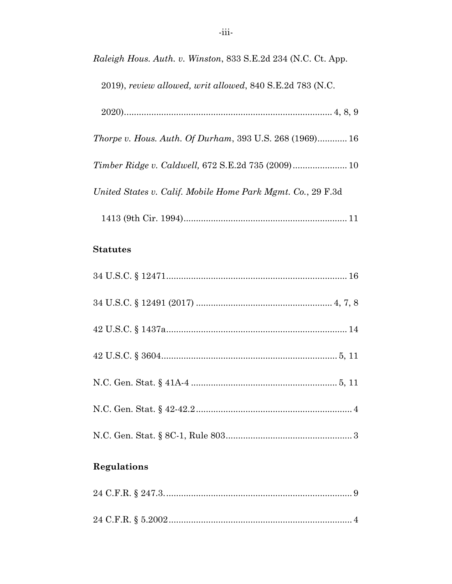Raleigh Hous. Auth. v. Winston, 833 S.E.2d 234 (N.C. Ct. App.

2019), review allowed, writ allowed, 840 S.E.2d 783 (N.C.

|--|--|--|--|--|

Thorpe v. Hous. Auth. Of Durham, 393 U.S. 268 (1969)............ 16

Timber Ridge v. Caldwell, 672 S.E.2d 735 (2009)..................... 10

United States v. Calif. Mobile Home Park Mgmt. Co., 29 F.3d

#### **Statutes**

## **Regulations**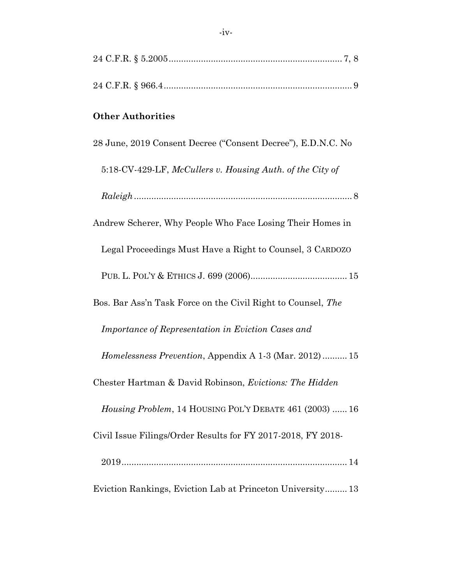| <b>Other Authorities</b>                                       |
|----------------------------------------------------------------|
| 28 June, 2019 Consent Decree ("Consent Decree"), E.D.N.C. No   |
| 5:18-CV-429-LF, McCullers v. Housing Auth. of the City of      |
|                                                                |
| Andrew Scherer, Why People Who Face Losing Their Homes in      |
| Legal Proceedings Must Have a Right to Counsel, 3 CARDOZO      |
|                                                                |
| Bos. Bar Ass'n Task Force on the Civil Right to Counsel, The   |
| Importance of Representation in Eviction Cases and             |
| Homelessness Prevention, Appendix A 1-3 (Mar. 2012)  15        |
| Chester Hartman & David Robinson, Evictions: The Hidden        |
| <i>Housing Problem, 14 HOUSING POL'Y DEBATE 461 (2003)  16</i> |
| Civil Issue Filings/Order Results for FY 2017-2018, FY 2018-   |
|                                                                |
| Eviction Rankings, Eviction Lab at Princeton University 13     |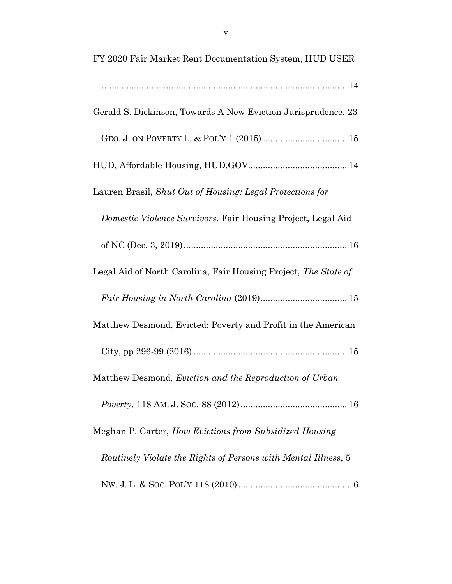| FY 2020 Fair Market Rent Documentation System, HUD USER         |  |
|-----------------------------------------------------------------|--|
|                                                                 |  |
| Gerald S. Dickinson, Towards A New Eviction Jurisprudence, 23   |  |
|                                                                 |  |
|                                                                 |  |
| Lauren Brasil, Shut Out of Housing: Legal Protections for       |  |
| Domestic Violence Survivors, Fair Housing Project, Legal Aid    |  |
|                                                                 |  |
| Legal Aid of North Carolina, Fair Housing Project, The State of |  |
|                                                                 |  |
| Matthew Desmond, Evicted: Poverty and Profit in the American    |  |
|                                                                 |  |
| Matthew Desmond, Eviction and the Reproduction of Urban         |  |
|                                                                 |  |
| Meghan P. Carter, How Evictions from Subsidized Housing         |  |
| Routinely Violate the Rights of Persons with Mental Illness, 5  |  |
|                                                                 |  |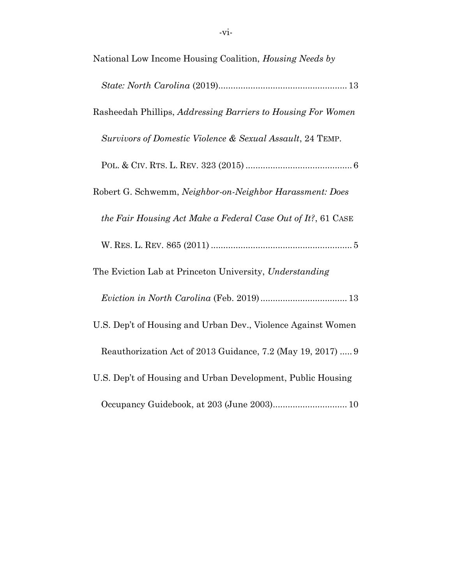| National Low Income Housing Coalition, Housing Needs by      |
|--------------------------------------------------------------|
|                                                              |
| Rasheedah Phillips, Addressing Barriers to Housing For Women |
| Survivors of Domestic Violence & Sexual Assault, 24 TEMP.    |
|                                                              |
| Robert G. Schwemm, Neighbor-on-Neighbor Harassment: Does     |
| the Fair Housing Act Make a Federal Case Out of It?, 61 CASE |
|                                                              |
|                                                              |
| The Eviction Lab at Princeton University, Understanding      |
|                                                              |
| U.S. Dep't of Housing and Urban Dev., Violence Against Women |
| Reauthorization Act of 2013 Guidance, 7.2 (May 19, 2017)  9  |
| U.S. Dep't of Housing and Urban Development, Public Housing  |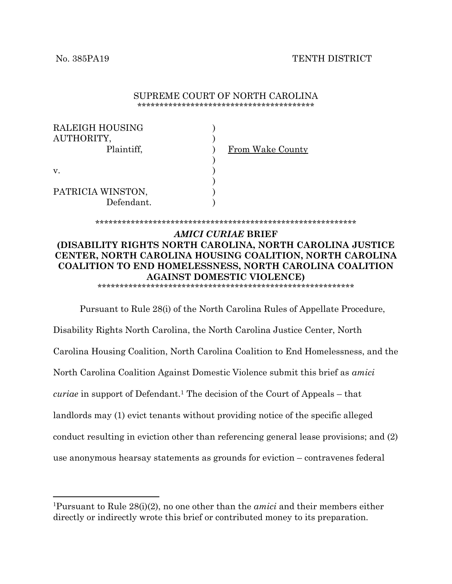#### No. 385PA19 TENTH DISTRICT

| SUPREME COURT OF NORTH CAROLINA |  |
|---------------------------------|--|
|                                 |  |

| RALEIGH HOUSING<br>AUTHORITY,<br>Plaintiff, | From Wake County |
|---------------------------------------------|------------------|
|                                             |                  |
| V.                                          |                  |
|                                             |                  |
| PATRICIA WINSTON,                           |                  |
| Defendant.                                  |                  |

#### \*\*\*\*\*\*\*\*\*\*\*\*\*\*\*\*\*\*\*\*\*\*\*\*\*\*\*\*\*\*\*\*\*\*\*\*\*\*\*\*\*\*\*\*\*\*\*\*\*\*\*\*\*\*\*\*\*\*\*

#### *AMICI CURIAE* **BRIEF (DISABILITY RIGHTS NORTH CAROLINA, NORTH CAROLINA JUSTICE CENTER, NORTH CAROLINA HOUSING COALITION, NORTH CAROLINA COALITION TO END HOMELESSNESS, NORTH CAROLINA COALITION AGAINST DOMESTIC VIOLENCE)**

\*\*\*\*\*\*\*\*\*\*\*\*\*\*\*\*\*\*\*\*\*\*\*\*\*\*\*\*\*\*\*\*\*\*\*\*\*\*\*\*\*\*\*\*\*\*\*\*\*\*\*\*\*\*\*\*\*\*

Pursuant to Rule 28(i) of the North Carolina Rules of Appellate Procedure, Disability Rights North Carolina, the North Carolina Justice Center, North Carolina Housing Coalition, North Carolina Coalition to End Homelessness, and the North Carolina Coalition Against Domestic Violence submit this brief as *amici curiae* in support of Defendant. <sup>1</sup> The decision of the Court of Appeals – that landlords may (1) evict tenants without providing notice of the specific alleged conduct resulting in eviction other than referencing general lease provisions; and (2) use anonymous hearsay statements as grounds for eviction – contravenes federal

<sup>1</sup>Pursuant to Rule 28(i)(2), no one other than the *amici* and their members either directly or indirectly wrote this brief or contributed money to its preparation.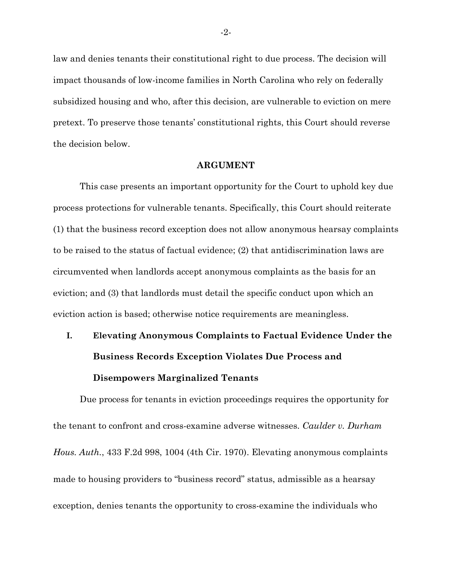law and denies tenants their constitutional right to due process. The decision will impact thousands of low-income families in North Carolina who rely on federally subsidized housing and who, after this decision, are vulnerable to eviction on mere pretext. To preserve those tenants' constitutional rights, this Court should reverse the decision below.

#### **ARGUMENT**

<span id="page-8-0"></span>This case presents an important opportunity for the Court to uphold key due process protections for vulnerable tenants. Specifically, this Court should reiterate (1) that the business record exception does not allow anonymous hearsay complaints to be raised to the status of factual evidence; (2) that antidiscrimination laws are circumvented when landlords accept anonymous complaints as the basis for an eviction; and (3) that landlords must detail the specific conduct upon which an eviction action is based; otherwise notice requirements are meaningless.

# <span id="page-8-1"></span>**I. Elevating Anonymous Complaints to Factual Evidence Under the Business Records Exception Violates Due Process and Disempowers Marginalized Tenants**

Due process for tenants in eviction proceedings requires the opportunity for the tenant to confront and cross-examine adverse witnesses. *Caulder v. Durham Hous. Auth.*, 433 F.2d 998, 1004 (4th Cir. 1970). Elevating anonymous complaints made to housing providers to "business record" status, admissible as a hearsay exception, denies tenants the opportunity to cross-examine the individuals who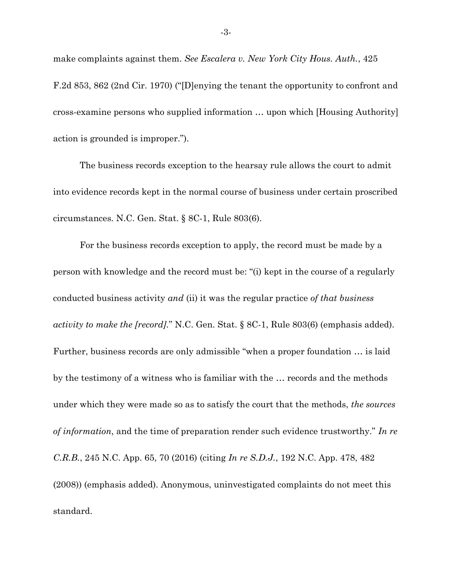make complaints against them. *See Escalera v. New York City Hous. Auth.*, 425 F.2d 853, 862 (2nd Cir. 1970) ("[D]enying the tenant the opportunity to confront and cross-examine persons who supplied information … upon which [Housing Authority] action is grounded is improper.").

The business records exception to the hearsay rule allows the court to admit into evidence records kept in the normal course of business under certain proscribed circumstances. N.C. Gen. Stat. § 8C-1, Rule 803(6).

For the business records exception to apply, the record must be made by a person with knowledge and the record must be: "(i) kept in the course of a regularly conducted business activity *and* (ii) it was the regular practice *of that business activity to make the [record].*" N.C. Gen. Stat. § 8C-1, Rule 803(6) (emphasis added). Further, business records are only admissible "when a proper foundation … is laid by the testimony of a witness who is familiar with the … records and the methods under which they were made so as to satisfy the court that the methods, *the sources of information*, and the time of preparation render such evidence trustworthy." *In re C.R.B.*, 245 N.C. App. 65, 70 (2016) (citing *In re S.D.J.*, 192 N.C. App. 478, 482 (2008)) (emphasis added). Anonymous, uninvestigated complaints do not meet this standard.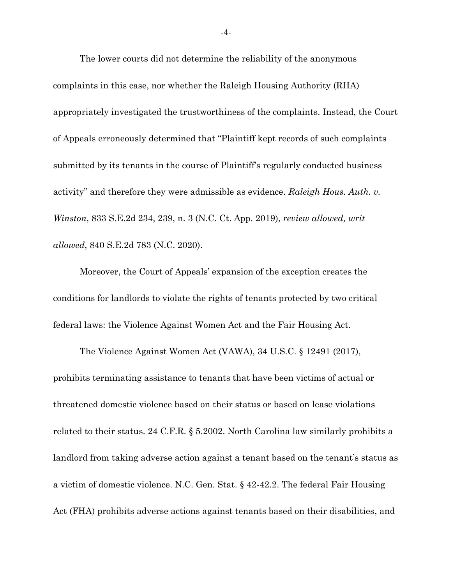The lower courts did not determine the reliability of the anonymous complaints in this case, nor whether the Raleigh Housing Authority (RHA) appropriately investigated the trustworthiness of the complaints. Instead, the Court of Appeals erroneously determined that "Plaintiff kept records of such complaints submitted by its tenants in the course of Plaintiff's regularly conducted business activity" and therefore they were admissible as evidence. *Raleigh Hous. Auth. v. Winston*, 833 S.E.2d 234, 239, n. 3 (N.C. Ct. App. 2019), *review allowed, writ allowed*, 840 S.E.2d 783 (N.C. 2020).

Moreover, the Court of Appeals' expansion of the exception creates the conditions for landlords to violate the rights of tenants protected by two critical federal laws: the Violence Against Women Act and the Fair Housing Act.

The Violence Against Women Act (VAWA), 34 U.S.C. § 12491 (2017), prohibits terminating assistance to tenants that have been victims of actual or threatened domestic violence based on their status or based on lease violations related to their status. 24 C.F.R. § 5.2002. North Carolina law similarly prohibits a landlord from taking adverse action against a tenant based on the tenant's status as a victim of domestic violence. N.C. Gen. Stat. § 42-42.2. The federal Fair Housing Act (FHA) prohibits adverse actions against tenants based on their disabilities, and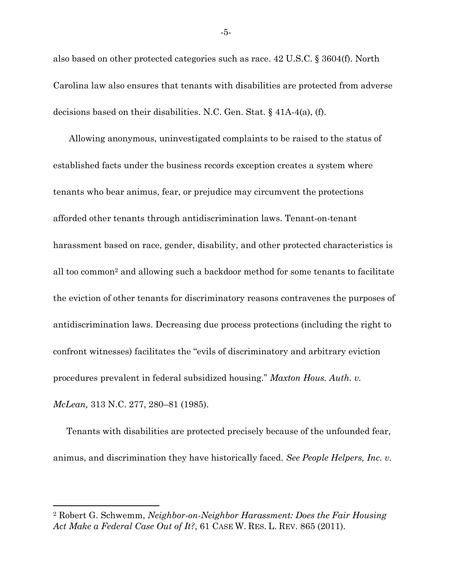also based on other protected categories such as race. 42 U.S.C. § 3604(f). North Carolina law also ensures that tenants with disabilities are protected from adverse decisions based on their disabilities. N.C. Gen. Stat. § 41A-4(a), (f).

Allowing anonymous, uninvestigated complaints to be raised to the status of established facts under the business records exception creates a system where tenants who bear animus, fear, or prejudice may circumvent the protections afforded other tenants through antidiscrimination laws. Tenant-on-tenant harassment based on race, gender, disability, and other protected characteristics is all too common<sup>2</sup> and allowing such a backdoor method for some tenants to facilitate the eviction of other tenants for discriminatory reasons contravenes the purposes of antidiscrimination laws. Decreasing due process protections (including the right to confront witnesses) facilitates the "evils of discriminatory and arbitrary eviction procedures prevalent in federal subsidized housing." *Maxton Hous. Auth. v. McLean,* 313 N.C. 277, 280–81 (1985).

Tenants with disabilities are protected precisely because of the unfounded fear, animus, and discrimination they have historically faced. *See People Helpers, Inc. v.* 

<sup>2</sup> Robert G. Schwemm, *Neighbor-on-Neighbor Harassment: Does the Fair Housing Act Make a Federal Case Out of It?*, 61 CASE W. RES. L. REV. 865 (2011).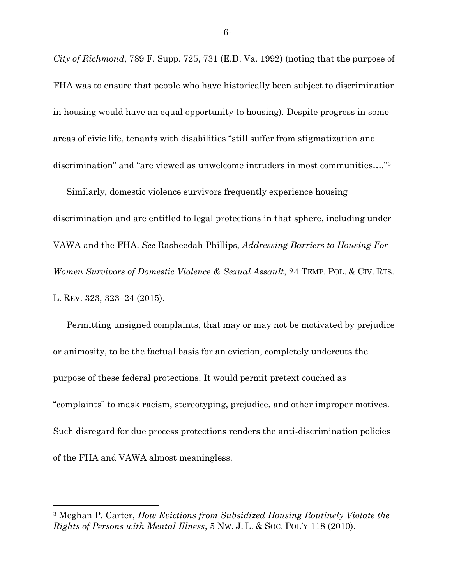*City of Richmond*, 789 F. Supp. 725, 731 (E.D. Va. 1992) (noting that the purpose of FHA was to ensure that people who have historically been subject to discrimination in housing would have an equal opportunity to housing). Despite progress in some areas of civic life, tenants with disabilities "still suffer from stigmatization and discrimination" and "are viewed as unwelcome intruders in most communities…."<sup>3</sup>

Similarly, domestic violence survivors frequently experience housing discrimination and are entitled to legal protections in that sphere, including under VAWA and the FHA. *See* Rasheedah Phillips, *Addressing Barriers to Housing For Women Survivors of Domestic Violence & Sexual Assault*, 24 TEMP. POL. & CIV. RTS. L. REV. 323, 323–24 (2015).

Permitting unsigned complaints, that may or may not be motivated by prejudice or animosity, to be the factual basis for an eviction, completely undercuts the purpose of these federal protections. It would permit pretext couched as "complaints" to mask racism, stereotyping, prejudice, and other improper motives. Such disregard for due process protections renders the anti-discrimination policies of the FHA and VAWA almost meaningless.

-6-

<sup>3</sup> Meghan P. Carter, *How Evictions from Subsidized Housing Routinely Violate the Rights of Persons with Mental Illness*, 5 NW. J. L. & SOC. POL'Y 118 (2010).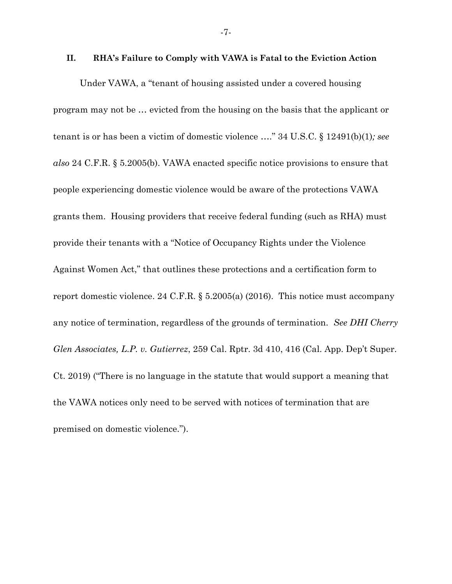#### <span id="page-13-0"></span>**II. RHA's Failure to Comply with VAWA is Fatal to the Eviction Action**

Under VAWA, a "tenant of housing assisted under a covered housing program may not be … evicted from the housing on the basis that the applicant or tenant is or has been a victim of domestic violence …." 34 U.S.C. § 12491(b)(1)*; see also* 24 C.F.R. § 5.2005(b). VAWA enacted specific notice provisions to ensure that people experiencing domestic violence would be aware of the protections VAWA grants them. Housing providers that receive federal funding (such as RHA) must provide their tenants with a "Notice of Occupancy Rights under the Violence Against Women Act," that outlines these protections and a certification form to report domestic violence. 24 C.F.R. § 5.2005(a) (2016). This notice must accompany any notice of termination, regardless of the grounds of termination. *See DHI Cherry Glen Associates, L.P. v. Gutierrez*, 259 Cal. Rptr. 3d 410, 416 (Cal. App. Dep't Super. Ct. 2019) ("There is no language in the statute that would support a meaning that the VAWA notices only need to be served with notices of termination that are premised on domestic violence.").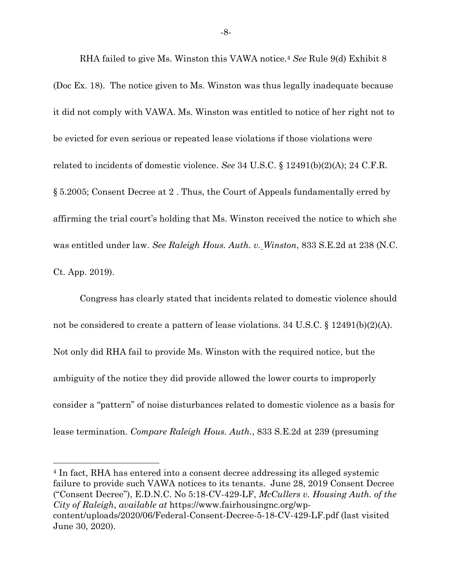RHA failed to give Ms. Winston this VAWA notice.<sup>4</sup> *See* Rule 9(d) Exhibit 8 (Doc Ex. 18). The notice given to Ms. Winston was thus legally inadequate because it did not comply with VAWA. Ms. Winston was entitled to notice of her right not to be evicted for even serious or repeated lease violations if those violations were related to incidents of domestic violence. *See* 34 U.S.C. § 12491(b)(2)(A); 24 C.F.R. § 5.2005; Consent Decree at 2 . Thus, the Court of Appeals fundamentally erred by affirming the trial court's holding that Ms. Winston received the notice to which she was entitled under law. *See Raleigh Hous. Auth. v. Winston*, 833 S.E.2d at 238 (N.C. Ct. App. 2019).

Congress has clearly stated that incidents related to domestic violence should not be considered to create a pattern of lease violations. 34 U.S.C. § 12491(b)(2)(A). Not only did RHA fail to provide Ms. Winston with the required notice, but the ambiguity of the notice they did provide allowed the lower courts to improperly consider a "pattern" of noise disturbances related to domestic violence as a basis for lease termination. *Compare Raleigh Hous. Auth.*, 833 S.E.2d at 239 (presuming

<sup>4</sup> In fact, RHA has entered into a consent decree addressing its alleged systemic failure to provide such VAWA notices to its tenants. June 28, 2019 Consent Decree ("Consent Decree"), E.D.N.C. No 5:18-CV-429-LF, *McCullers v. Housing Auth. of the City of Raleigh*, *available at* https://www.fairhousingnc.org/wpcontent/uploads/2020/06/Federal-Consent-Decree-5-18-CV-429-LF.pdf (last visited June 30, 2020).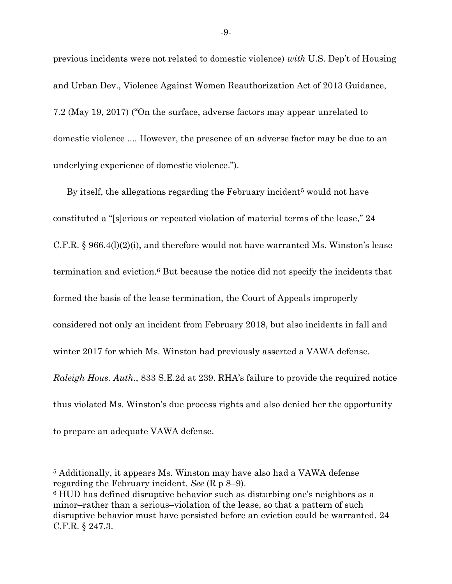previous incidents were not related to domestic violence) *with* U.S. Dep't of Housing and Urban Dev., Violence Against Women Reauthorization Act of 2013 Guidance, 7.2 (May 19, 2017) ("On the surface, adverse factors may appear unrelated to domestic violence .... However, the presence of an adverse factor may be due to an underlying experience of domestic violence.").

By itself, the allegations regarding the February incident<sup>5</sup> would not have constituted a "[s]erious or repeated violation of material terms of the lease," 24 C.F.R. § 966.4(l)(2)(i), and therefore would not have warranted Ms. Winston's lease termination and eviction.<sup>6</sup> But because the notice did not specify the incidents that formed the basis of the lease termination, the Court of Appeals improperly considered not only an incident from February 2018, but also incidents in fall and winter 2017 for which Ms. Winston had previously asserted a VAWA defense. *Raleigh Hous. Auth.*, 833 S.E.2d at 239. RHA's failure to provide the required notice thus violated Ms. Winston's due process rights and also denied her the opportunity to prepare an adequate VAWA defense.

<sup>5</sup> Additionally, it appears Ms. Winston may have also had a VAWA defense regarding the February incident. *See* (R p 8–9).

<sup>6</sup> HUD has defined disruptive behavior such as disturbing one's neighbors as a minor–rather than a serious–violation of the lease, so that a pattern of such disruptive behavior must have persisted before an eviction could be warranted. 24 C.F.R. § 247.3.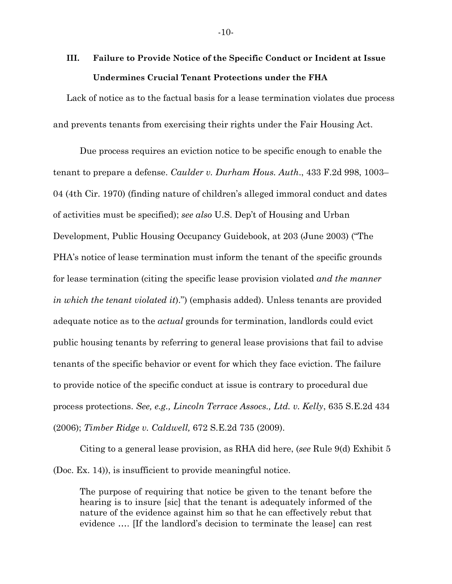## <span id="page-16-0"></span>**III. Failure to Provide Notice of the Specific Conduct or Incident at Issue Undermines Crucial Tenant Protections under the FHA**

Lack of notice as to the factual basis for a lease termination violates due process and prevents tenants from exercising their rights under the Fair Housing Act.

Due process requires an eviction notice to be specific enough to enable the tenant to prepare a defense. *Caulder v. Durham Hous. Auth*., 433 F.2d 998, 1003– 04 (4th Cir. 1970) (finding nature of children's alleged immoral conduct and dates of activities must be specified); *see also* U.S. Dep't of Housing and Urban Development, Public Housing Occupancy Guidebook, at 203 (June 2003) ("The PHA's notice of lease termination must inform the tenant of the specific grounds for lease termination (citing the specific lease provision violated *and the manner in which the tenant violated it*).") (emphasis added). Unless tenants are provided adequate notice as to the *actual* grounds for termination, landlords could evict public housing tenants by referring to general lease provisions that fail to advise tenants of the specific behavior or event for which they face eviction. The failure to provide notice of the specific conduct at issue is contrary to procedural due process protections. *See, e.g., Lincoln Terrace Assocs., Ltd. v. Kelly*, 635 S.E.2d 434 (2006); *Timber Ridge v. Caldwell,* 672 S.E.2d 735 (2009).

Citing to a general lease provision, as RHA did here, (*see* Rule 9(d) Exhibit 5 (Doc. Ex. 14)), is insufficient to provide meaningful notice.

The purpose of requiring that notice be given to the tenant before the hearing is to insure [sic] that the tenant is adequately informed of the nature of the evidence against him so that he can effectively rebut that evidence …. [If the landlord's decision to terminate the lease] can rest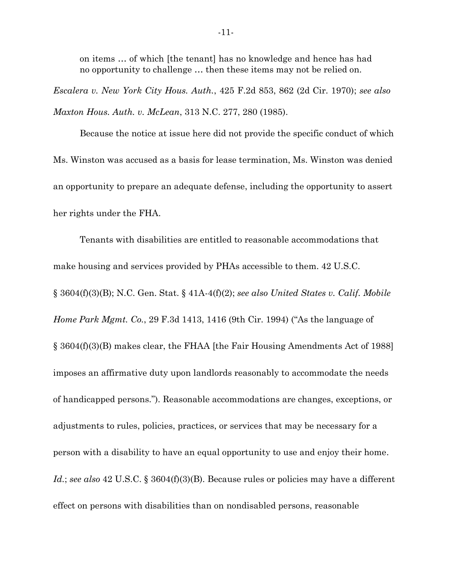on items … of which [the tenant] has no knowledge and hence has had no opportunity to challenge … then these items may not be relied on.

*Escalera v. New York City Hous. Auth.*, 425 F.2d 853, 862 (2d Cir. 1970); *see also Maxton Hous. Auth. v. McLean*, 313 N.C. 277, 280 (1985).

Because the notice at issue here did not provide the specific conduct of which Ms. Winston was accused as a basis for lease termination, Ms. Winston was denied an opportunity to prepare an adequate defense, including the opportunity to assert her rights under the FHA.

Tenants with disabilities are entitled to reasonable accommodations that make housing and services provided by PHAs accessible to them. 42 U.S.C. § 3604(f)(3)(B); N.C. Gen. Stat. § 41A-4(f)(2); *see also United States v. Calif. Mobile Home Park Mgmt. Co.*, 29 F.3d 1413, 1416 (9th Cir. 1994) ("As the language of § 3604(f)(3)(B) makes clear, the FHAA [the Fair Housing Amendments Act of 1988] imposes an affirmative duty upon landlords reasonably to accommodate the needs of handicapped persons."). Reasonable accommodations are changes, exceptions, or adjustments to rules, policies, practices, or services that may be necessary for a person with a disability to have an equal opportunity to use and enjoy their home. *Id.*; *see also* 42 U.S.C. § 3604(f)(3)(B). Because rules or policies may have a different effect on persons with disabilities than on nondisabled persons, reasonable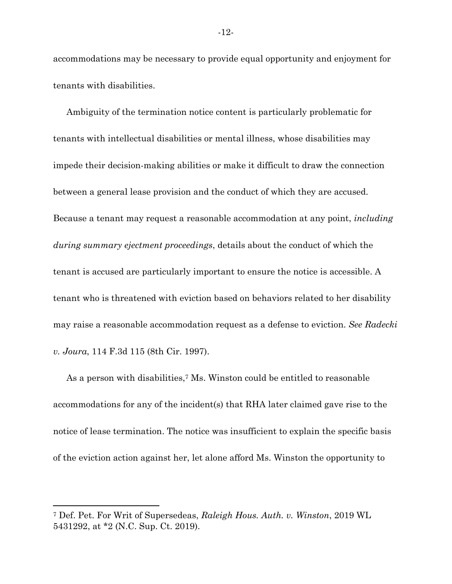accommodations may be necessary to provide equal opportunity and enjoyment for tenants with disabilities.

Ambiguity of the termination notice content is particularly problematic for tenants with intellectual disabilities or mental illness, whose disabilities may impede their decision-making abilities or make it difficult to draw the connection between a general lease provision and the conduct of which they are accused. Because a tenant may request a reasonable accommodation at any point, *including during summary ejectment proceedings*, details about the conduct of which the tenant is accused are particularly important to ensure the notice is accessible. A tenant who is threatened with eviction based on behaviors related to her disability may raise a reasonable accommodation request as a defense to eviction. *See Radecki v. Joura*, 114 F.3d 115 (8th Cir. 1997).

As a person with disabilities,<sup>7</sup> Ms. Winston could be entitled to reasonable accommodations for any of the incident(s) that RHA later claimed gave rise to the notice of lease termination. The notice was insufficient to explain the specific basis of the eviction action against her, let alone afford Ms. Winston the opportunity to

<sup>7</sup> Def. Pet. For Writ of Supersedeas, *Raleigh Hous. Auth. v. Winston*, 2019 WL 5431292, at \*2 (N.C. Sup. Ct. 2019).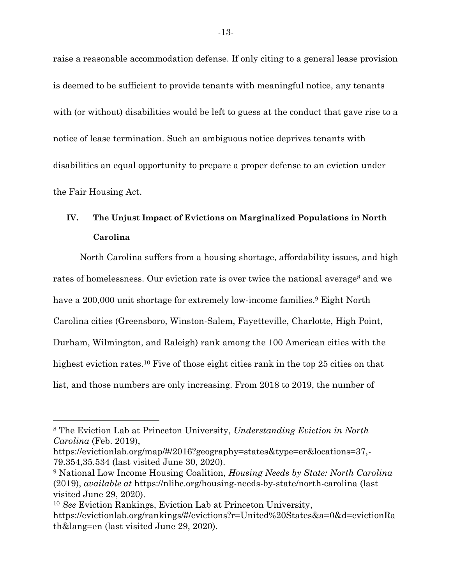raise a reasonable accommodation defense. If only citing to a general lease provision is deemed to be sufficient to provide tenants with meaningful notice, any tenants with (or without) disabilities would be left to guess at the conduct that gave rise to a notice of lease termination. Such an ambiguous notice deprives tenants with disabilities an equal opportunity to prepare a proper defense to an eviction under the Fair Housing Act.

# <span id="page-19-0"></span>**IV. The Unjust Impact of Evictions on Marginalized Populations in North Carolina**

North Carolina suffers from a housing shortage, affordability issues, and high rates of homelessness. Our eviction rate is over twice the national average<sup>8</sup> and we have a 200,000 unit shortage for extremely low-income families.<sup>9</sup> Eight North Carolina cities (Greensboro, Winston-Salem, Fayetteville, Charlotte, High Point, Durham, Wilmington, and Raleigh) rank among the 100 American cities with the highest eviction rates.<sup>10</sup> Five of those eight cities rank in the top 25 cities on that list, and those numbers are only increasing. From 2018 to 2019, the number of

<sup>8</sup> The Eviction Lab at Princeton University, *Understanding Eviction in North Carolina* (Feb. 2019),

https://evictionlab.org/map/#/2016?geography=states&type=er&locations=37,- 79.354,35.534 (last visited June 30, 2020).

<sup>9</sup> National Low Income Housing Coalition, *Housing Needs by State: North Carolina* (2019), *available at* https://nlihc.org/housing-needs-by-state/north-carolina (last visited June 29, 2020).

<sup>10</sup> *See* Eviction Rankings, Eviction Lab at Princeton University, https://evictionlab.org/rankings/#/evictions?r=United%20States&a=0&d=evictionRa th&lang=en (last visited June 29, 2020).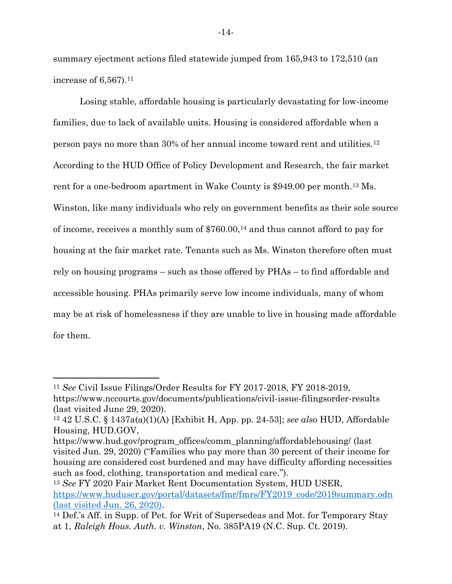summary ejectment actions filed statewide jumped from 165,943 to 172,510 (an increase of  $6,567$ ).<sup>11</sup>

Losing stable, affordable housing is particularly devastating for low-income families, due to lack of available units. Housing is considered affordable when a person pays no more than 30% of her annual income toward rent and utilities.<sup>12</sup> According to the HUD Office of Policy Development and Research, the fair market rent for a one-bedroom apartment in Wake County is \$949.00 per month.<sup>13</sup> Ms. Winston, like many individuals who rely on government benefits as their sole source of income, receives a monthly sum of \$760.00,<sup>14</sup> and thus cannot afford to pay for housing at the fair market rate. Tenants such as Ms. Winston therefore often must rely on housing programs – such as those offered by PHAs – to find affordable and accessible housing. PHAs primarily serve low income individuals, many of whom may be at risk of homelessness if they are unable to live in housing made affordable for them.

<sup>13</sup> *See* FY 2020 Fair Market Rent Documentation System, HUD USER, [https://www.huduser.gov/portal/datasets/fmr/fmrs/FY2019\\_code/2019summary.odn](https://www.huduser.gov/portal/datasets/fmr/fmrs/FY2019_code/2019summary.odn) (last visited Jun. 26, 2020).

<sup>11</sup> *See* Civil Issue Filings/Order Results for FY 2017-2018, FY 2018-2019, https://www.nccourts.gov/documents/publications/civil-issue-filingsorder-results (last visited June 29, 2020).

<sup>12</sup> 42 U.S.C. § 1437a(a)(1)(A) [Exhibit H, App. pp. 24-53]; *see also* HUD, Affordable Housing, HUD.GOV,

https://www.hud.gov/program\_offices/comm\_planning/affordablehousing/ (last visited Jun. 29, 2020) ("Families who pay more than 30 percent of their income for housing are considered cost burdened and may have difficulty affording necessities such as food, clothing, transportation and medical care.").

<sup>14</sup> Def.'s Aff. in Supp. of Pet. for Writ of Supersedeas and Mot. for Temporary Stay at 1, *Raleigh Hous. Auth. v. Winston*, No. 385PA19 (N.C. Sup. Ct. 2019).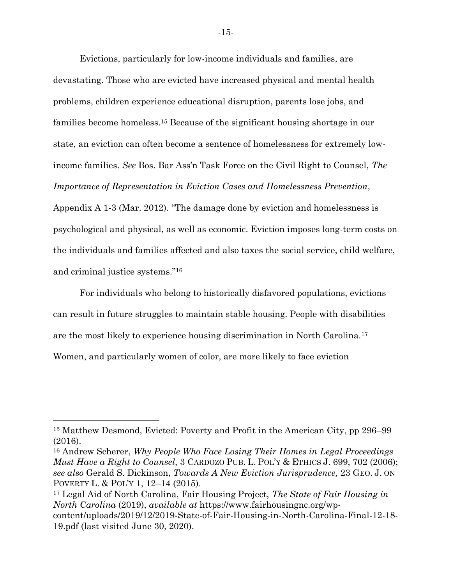Evictions, particularly for low-income individuals and families, are devastating. Those who are evicted have increased physical and mental health problems, children experience educational disruption, parents lose jobs, and families become homeless.<sup>15</sup> Because of the significant housing shortage in our state, an eviction can often become a sentence of homelessness for extremely lowincome families. *See* Bos. Bar Ass'n Task Force on the Civil Right to Counsel, *The Importance of Representation in Eviction Cases and Homelessness Prevention*, Appendix A 1-3 (Mar. 2012). "The damage done by eviction and homelessness is psychological and physical, as well as economic. Eviction imposes long-term costs on the individuals and families affected and also taxes the social service, child welfare, and criminal justice systems."<sup>16</sup>

For individuals who belong to historically disfavored populations, evictions can result in future struggles to maintain stable housing. People with disabilities are the most likely to experience housing discrimination in North Carolina.<sup>17</sup> Women, and particularly women of color, are more likely to face eviction

<sup>16</sup> Andrew Scherer, *Why People Who Face Losing Their Homes in Legal Proceedings Must Have a Right to Counsel*, 3 CARDOZO PUB. L. POL'Y & ETHICS J. 699, 702 (2006); *see also* Gerald S. Dickinson, *Towards A New Eviction Jurisprudence,* 23 GEO. J. ON POVERTY L. & POL'Y 1, 12–14 (2015).

<sup>15</sup> Matthew Desmond, Evicted: Poverty and Profit in the American City, pp 296–99 (2016).

<sup>17</sup> Legal Aid of North Carolina, Fair Housing Project, *The State of Fair Housing in North Carolina* (2019), *available at* https://www.fairhousingnc.org/wpcontent/uploads/2019/12/2019-State-of-Fair-Housing-in-North-Carolina-Final-12-18- 19.pdf (last visited June 30, 2020).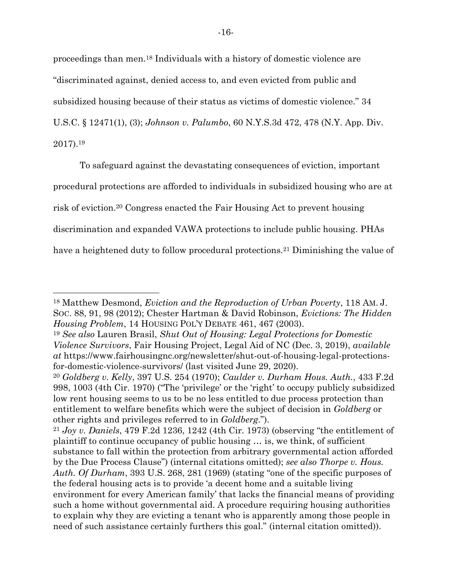proceedings than men.<sup>18</sup> Individuals with a history of domestic violence are "discriminated against, denied access to, and even evicted from public and subsidized housing because of their status as victims of domestic violence." 34 U.S.C. § 12471(1), (3); *Johnson v. Palumbo*, 60 N.Y.S.3d 472, 478 (N.Y. App. Div. 2017). 19

To safeguard against the devastating consequences of eviction, important procedural protections are afforded to individuals in subsidized housing who are at risk of eviction.<sup>20</sup> Congress enacted the Fair Housing Act to prevent housing discrimination and expanded VAWA protections to include public housing. PHAs have a heightened duty to follow procedural protections.<sup>21</sup> Diminishing the value of

<sup>18</sup> Matthew Desmond, *Eviction and the Reproduction of Urban Poverty*, 118 AM. J. SOC. 88, 91, 98 (2012); Chester Hartman & David Robinson, *Evictions: The Hidden Housing Problem*, 14 HOUSING POL'Y DEBATE 461, 467 (2003).

<sup>19</sup> *See also* Lauren Brasil, *Shut Out of Housing: Legal Protections for Domestic Violence Survivors*, Fair Housing Project, Legal Aid of NC (Dec. 3, 2019), *available at* https://www.fairhousingnc.org/newsletter/shut-out-of-housing-legal-protectionsfor-domestic-violence-survivors/ (last visited June 29, 2020).

<sup>20</sup> *Goldberg v. Kelly*, 397 U.S. 254 (1970); *Caulder v. Durham Hous. Auth.*, 433 F.2d 998, 1003 (4th Cir. 1970) ("The 'privilege' or the 'right' to occupy publicly subsidized low rent housing seems to us to be no less entitled to due process protection than entitlement to welfare benefits which were the subject of decision in *Goldberg* or other rights and privileges referred to in *Goldberg*.").

<sup>21</sup> *Joy v. Daniels*, 479 F.2d 1236, 1242 (4th Cir. 1973) (observing "the entitlement of plaintiff to continue occupancy of public housing … is, we think, of sufficient substance to fall within the protection from arbitrary governmental action afforded by the Due Process Clause") (internal citations omitted); *see also Thorpe v. Hous. Auth. Of Durham*, 393 U.S. 268, 281 (1969) (stating "one of the specific purposes of the federal housing acts is to provide 'a decent home and a suitable living environment for every American family' that lacks the financial means of providing such a home without governmental aid. A procedure requiring housing authorities to explain why they are evicting a tenant who is apparently among those people in need of such assistance certainly furthers this goal." (internal citation omitted)).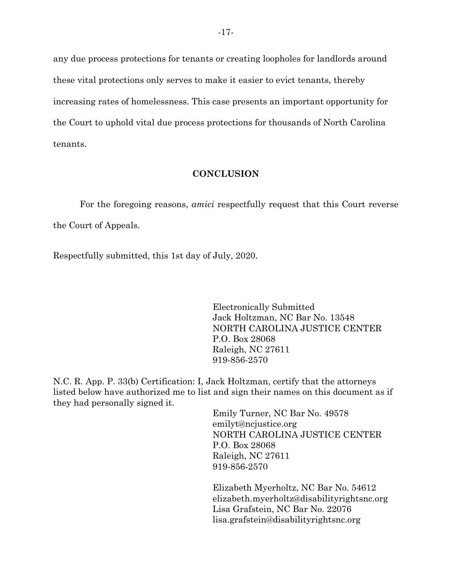any due process protections for tenants or creating loopholes for landlords around these vital protections only serves to make it easier to evict tenants, thereby increasing rates of homelessness. This case presents an important opportunity for the Court to uphold vital due process protections for thousands of North Carolina tenants.

#### **CONCLUSION**

<span id="page-23-0"></span>For the foregoing reasons, *amici* respectfully request that this Court reverse the Court of Appeals.

Respectfully submitted, this 1st day of July, 2020.

Electronically Submitted Jack Holtzman, NC Bar No. 13548 NORTH CAROLINA JUSTICE CENTER P.O. Box 28068 Raleigh, NC 27611 919-856-2570

N.C. R. App. P. 33(b) Certification: I, Jack Holtzman, certify that the attorneys listed below have authorized me to list and sign their names on this document as if they had personally signed it.

> Emily Turner, NC Bar No. 49578 emilyt@ncjustice.org NORTH CAROLINA JUSTICE CENTER P.O. Box 28068 Raleigh, NC 27611 919-856-2570

Elizabeth Myerholtz, NC Bar No. 54612 elizabeth.myerholtz@disabilityrightsnc.org Lisa Grafstein, NC Bar No. 22076 lisa.grafstein@disabilityrightsnc.org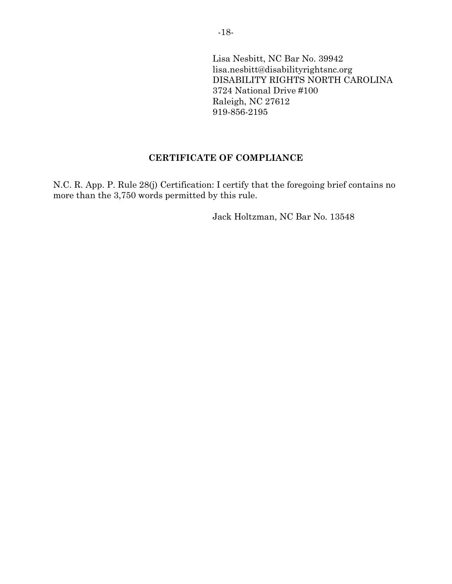Lisa Nesbitt, NC Bar No. 39942 lisa.nesbitt@disabilityrightsnc.org DISABILITY RIGHTS NORTH CAROLINA 3724 National Drive #100 Raleigh, NC 27612 919-856-2195

### **CERTIFICATE OF COMPLIANCE**

<span id="page-24-0"></span>N.C. R. App. P. Rule 28(j) Certification: I certify that the foregoing brief contains no more than the 3,750 words permitted by this rule.

Jack Holtzman, NC Bar No. 13548